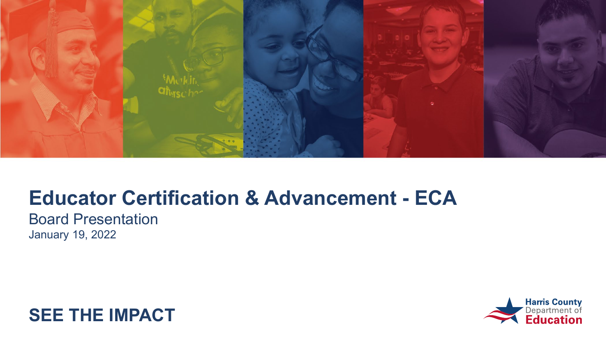

Board Presentation January 19, 2022



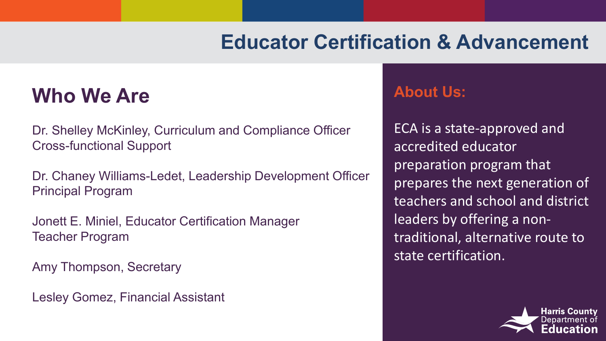#### **Who We Are**

Dr. Shelley McKinley, Curriculum and Compliance Officer Cross-functional Support

Dr. Chaney Williams-Ledet, Leadership Development Officer Principal Program

Jonett E. Miniel, Educator Certification Manager Teacher Program

Amy Thompson, Secretary

Lesley Gomez, Financial Assistant

#### **About Us:**

ECA is a state-approved and accredited educator preparation program that prepares the next generation of teachers and school and district leaders by offering a nontraditional, alternative route to state certification.

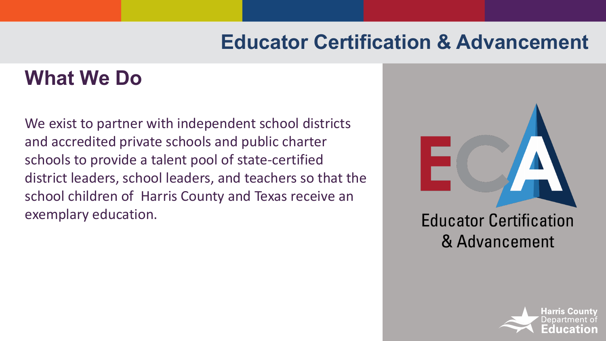## **What We Do**

We exist to partner with independent school districts and accredited private schools and public charter schools to provide a talent pool of state-certified district leaders, school leaders, and teachers so that the school children of Harris County and Texas receive an exemplary education.



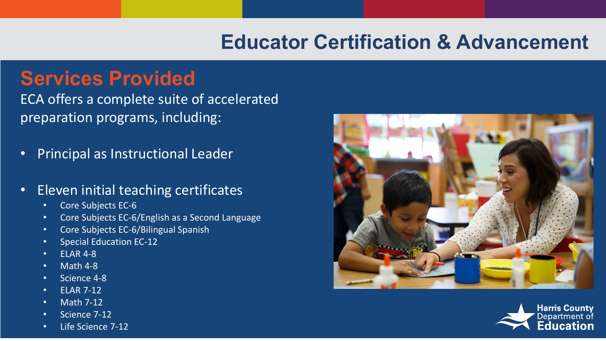#### **Services Provided**

ECA offers a complete suite of accelerated preparation programs, including:

- Principal as Instructional Leader
- Eleven initial teaching certificates
	- Core Subjects EC-6
	- Core Subjects EC-6/English as a Second Language
	- Core Subjects EC-6/Bilingual Spanish
	- Special Education EC-12
	- ELAR 4-8
	- Math 4-8
	- Science 4-8
	- ELAR 7-12
	- Math 7-12
	- Science 7-12





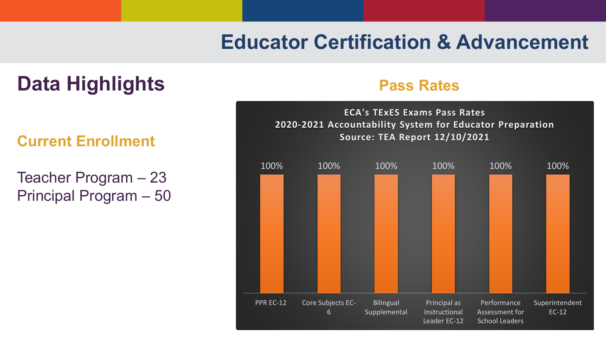#### **Data Highlights Pass Rates**

#### **Current Enrollment**

Teacher Program – 23 Principal Program – 50

**ECA's TExES Exams Pass Rates 2020-2021 Accountability System for Educator Preparation Source: TEA Report 12/10/2021**

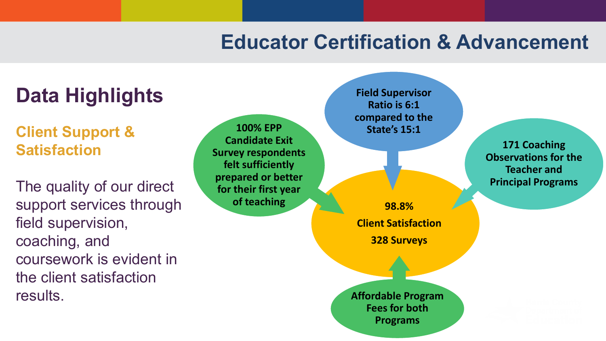# **Data Highlights**

**Client Support & Satisfaction**

The quality of our direct support services through field supervision, coaching, and coursework is evident in the client satisfaction results.

**100% EPP Candidate Exit Survey respondents felt sufficiently prepared or better for their first year of teaching 38.8%** 

**Field Supervisor Ratio is 6:1 compared to the State's 15:1**

**Client Satisfaction 328 Surveys**

**Affordable Program Fees for both Programs**

**171 Coaching Observations for the Teacher and Principal Programs**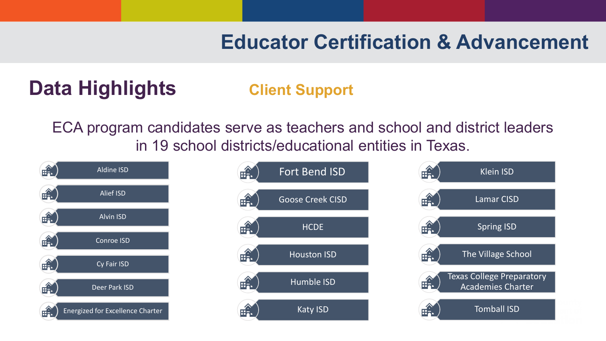# **Data Highlights <b>Client Support**

ECA program candidates serve as teachers and school and district leaders in 19 school districts/educational entities in Texas.



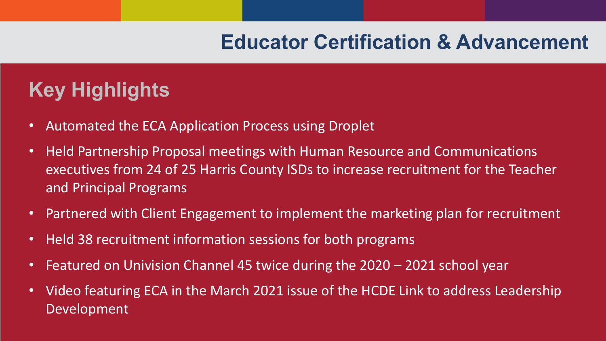## **Key Highlights**

- Automated the ECA Application Process using Droplet
- Held Partnership Proposal meetings with Human Resource and Communications executives from 24 of 25 Harris County ISDs to increase recruitment for the Teacher and Principal Programs
- Partnered with Client Engagement to implement the marketing plan for recruitment
- Held 38 recruitment information sessions for both programs
- Featured on Univision Channel 45 twice during the 2020 2021 school year
- Video featuring ECA in the March 2021 issue of the HCDE Link to address Leadership Development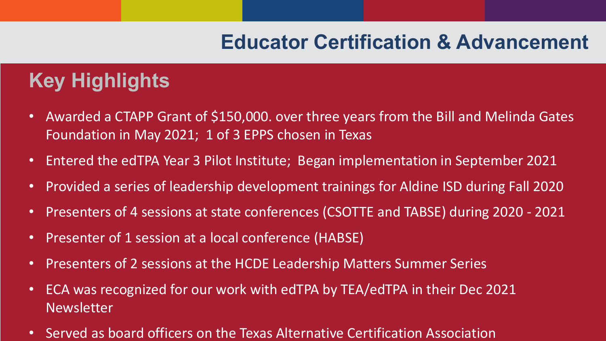## **Key Highlights**

- Awarded a CTAPP Grant of \$150,000. over three years from the Bill and Melinda Gates Foundation in May 2021; 1 of 3 EPPS chosen in Texas
- Entered the edTPA Year 3 Pilot Institute; Began implementation in September 2021
- Provided a series of leadership development trainings for Aldine ISD during Fall 2020
- Presenters of 4 sessions at state conferences (CSOTTE and TABSE) during 2020 2021
- Presenter of 1 session at a local conference (HABSE)
- Presenters of 2 sessions at the HCDE Leadership Matters Summer Series
- ECA was recognized for our work with edTPA by TEA/edTPA in their Dec 2021 Newsletter
- Served as board officers on the Texas Alternative Certification Association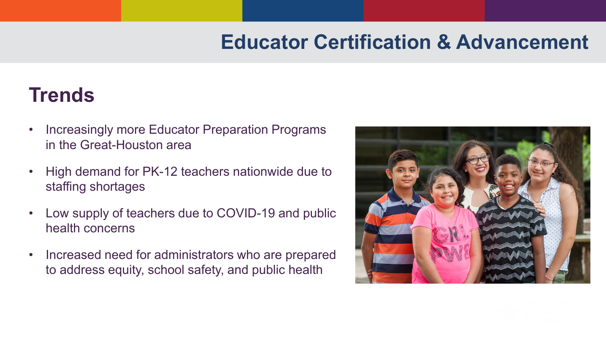#### **Trends**

- Increasingly more Educator Preparation Programs in the Great-Houston area
- High demand for PK-12 teachers nationwide due to staffing shortages
- Low supply of teachers due to COVID-19 and public health concerns
- Increased need for administrators who are prepared to address equity, school safety, and public health

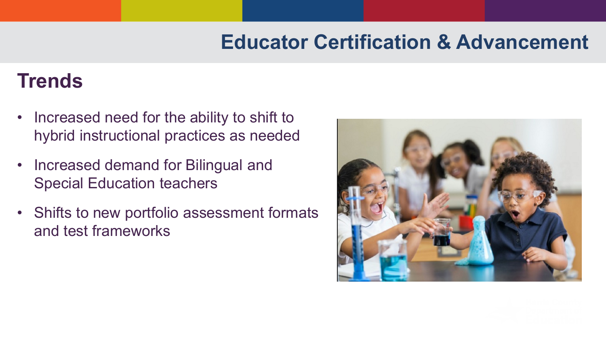#### **Trends**

- Increased need for the ability to shift to hybrid instructional practices as needed
- Increased demand for Bilingual and Special Education teachers
- Shifts to new portfolio assessment formats and test frameworks